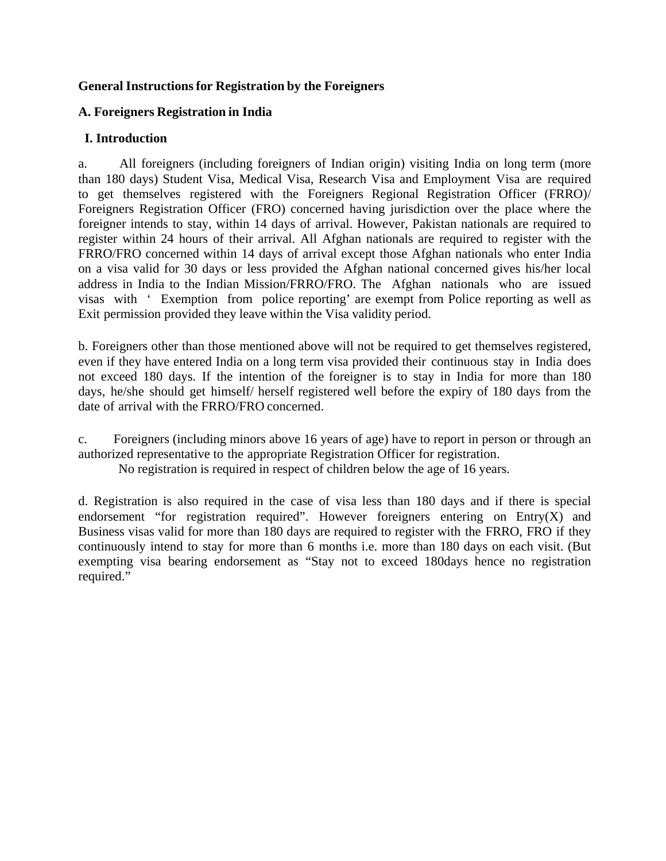## **General Instructions for Registration by the Foreigners**

## **A. Foreigners Registration in India**

## **I. Introduction**

a. All foreigners (including foreigners of Indian origin) visiting India on long term (more than 180 days) Student Visa, Medical Visa, Research Visa and Employment Visa are required to get themselves registered with the Foreigners Regional Registration Officer (FRRO)/ Foreigners Registration Officer (FRO) concerned having jurisdiction over the place where the foreigner intends to stay, within 14 days of arrival. However, Pakistan nationals are required to register within 24 hours of their arrival. All Afghan nationals are required to register with the FRRO/FRO concerned within 14 days of arrival except those Afghan nationals who enter India on a visa valid for 30 days or less provided the Afghan national concerned gives his/her local address in India to the Indian Mission/FRRO/FRO. The Afghan nationals who are issued visas with ' Exemption from police reporting' are exempt from Police reporting as well as Exit permission provided they leave within the Visa validity period.

b. Foreigners other than those mentioned above will not be required to get themselves registered, even if they have entered India on a long term visa provided their continuous stay in India does not exceed 180 days. If the intention of the foreigner is to stay in India for more than 180 days, he/she should get himself/ herself registered well before the expiry of 180 days from the date of arrival with the FRRO/FRO concerned.

c. Foreigners (including minors above 16 years of age) have to report in person or through an authorized representative to the appropriate Registration Officer for registration.

No registration is required in respect of children below the age of 16 years.

d. Registration is also required in the case of visa less than 180 days and if there is special endorsement "for registration required". However foreigners entering on  $Entry(X)$  and Business visas valid for more than 180 days are required to register with the FRRO, FRO if they continuously intend to stay for more than 6 months i.e. more than 180 days on each visit. (But exempting visa bearing endorsement as "Stay not to exceed 180days hence no registration required."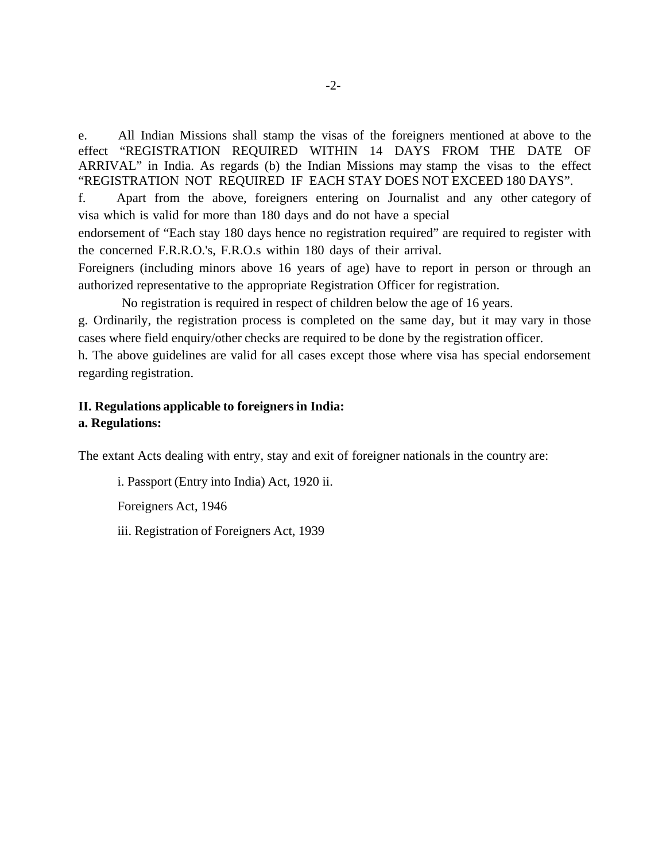e. All Indian Missions shall stamp the visas of the foreigners mentioned at above to the effect "REGISTRATION REQUIRED WITHIN 14 DAYS FROM THE DATE OF ARRIVAL" in India. As regards (b) the Indian Missions may stamp the visas to the effect "REGISTRATION NOT REQUIRED IF EACH STAY DOES NOT EXCEED 180 DAYS".

f. Apart from the above, foreigners entering on Journalist and any other category of visa which is valid for more than 180 days and do not have a special

endorsement of "Each stay 180 days hence no registration required" are required to register with the concerned F.R.R.O.'s, F.R.O.s within 180 days of their arrival.

Foreigners (including minors above 16 years of age) have to report in person or through an authorized representative to the appropriate Registration Officer for registration.

No registration is required in respect of children below the age of 16 years.

g. Ordinarily, the registration process is completed on the same day, but it may vary in those cases where field enquiry/other checks are required to be done by the registration officer.

h. The above guidelines are valid for all cases except those where visa has special endorsement regarding registration.

### **II. Regulations applicable to foreigners in India: a. Regulations:**

The extant Acts dealing with entry, stay and exit of foreigner nationals in the country are:

i. Passport (Entry into India) Act, 1920 ii. Foreigners Act, 1946

iii. Registration of Foreigners Act, 1939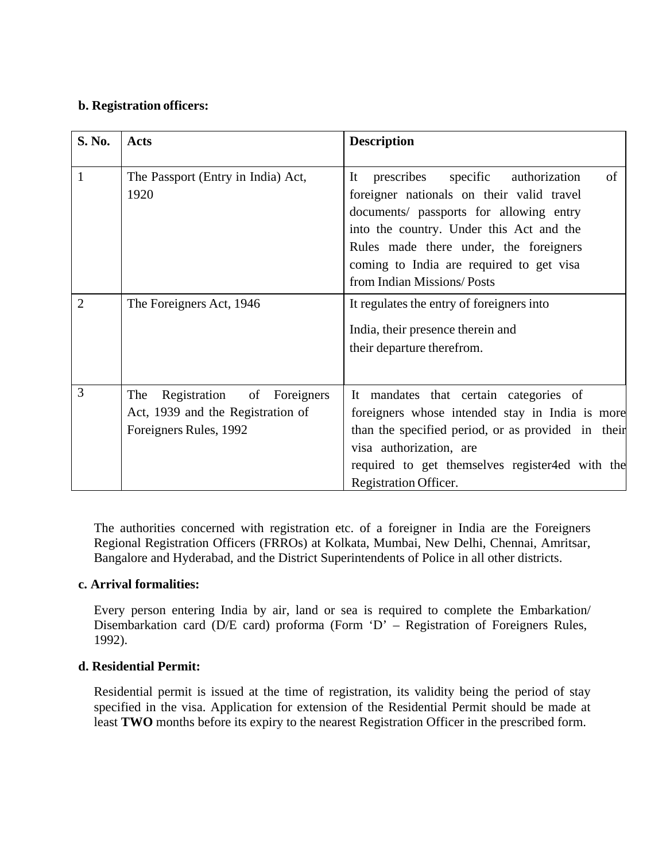## **b. Registration officers:**

| S. No.         | <b>Acts</b>                                                                                         | <b>Description</b>                                                                                                                                                                                                                                                                                       |
|----------------|-----------------------------------------------------------------------------------------------------|----------------------------------------------------------------------------------------------------------------------------------------------------------------------------------------------------------------------------------------------------------------------------------------------------------|
| 1              | The Passport (Entry in India) Act,<br>1920                                                          | specific authorization<br>of<br>prescribes<br>It<br>foreigner nationals on their valid travel<br>documents/ passports for allowing entry<br>into the country. Under this Act and the<br>Rules made there under, the foreigners<br>coming to India are required to get visa<br>from Indian Missions/Posts |
| $\overline{2}$ | The Foreigners Act, 1946                                                                            | It regulates the entry of foreigners into<br>India, their presence therein and<br>their departure therefrom.                                                                                                                                                                                             |
| 3              | The<br>of Foreigners<br>Registration<br>Act, 1939 and the Registration of<br>Foreigners Rules, 1992 | It mandates that certain categories of<br>foreigners whose intended stay in India is more<br>than the specified period, or as provided in their<br>visa authorization, are<br>required to get themselves register4ed with the<br>Registration Officer.                                                   |

The authorities concerned with registration etc. of a foreigner in India are the Foreigners Regional Registration Officers (FRROs) at Kolkata, Mumbai, New Delhi, Chennai, Amritsar, Bangalore and Hyderabad, and the District Superintendents of Police in all other districts.

# **c. Arrival formalities:**

Every person entering India by air, land or sea is required to complete the Embarkation/ Disembarkation card (D/E card) proforma (Form 'D' – Registration of Foreigners Rules, 1992).

# **d. Residential Permit:**

Residential permit is issued at the time of registration, its validity being the period of stay specified in the visa. Application for extension of the Residential Permit should be made at least **TWO** months before its expiry to the nearest Registration Officer in the prescribed form.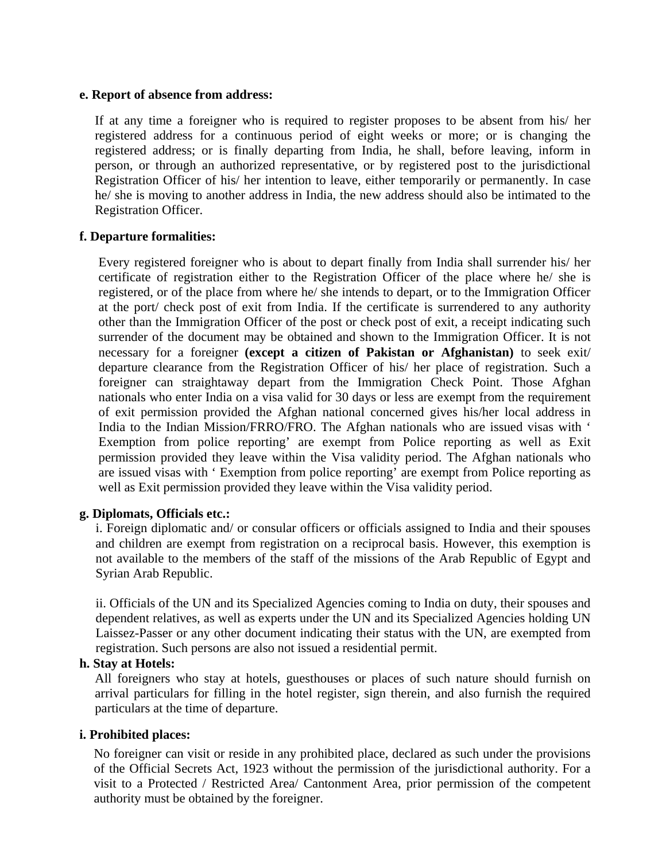#### **e. Report of absence from address:**

If at any time a foreigner who is required to register proposes to be absent from his/ her registered address for a continuous period of eight weeks or more; or is changing the registered address; or is finally departing from India, he shall, before leaving, inform in person, or through an authorized representative, or by registered post to the jurisdictional Registration Officer of his/ her intention to leave, either temporarily or permanently. In case he/ she is moving to another address in India, the new address should also be intimated to the Registration Officer.

### **f. Departure formalities:**

Every registered foreigner who is about to depart finally from India shall surrender his/ her certificate of registration either to the Registration Officer of the place where he/ she is registered, or of the place from where he/ she intends to depart, or to the Immigration Officer at the port/ check post of exit from India. If the certificate is surrendered to any authority other than the Immigration Officer of the post or check post of exit, a receipt indicating such surrender of the document may be obtained and shown to the Immigration Officer. It is not necessary for a foreigner **(except a citizen of Pakistan or Afghanistan)** to seek exit/ departure clearance from the Registration Officer of his/ her place of registration. Such a foreigner can straightaway depart from the Immigration Check Point. Those Afghan nationals who enter India on a visa valid for 30 days or less are exempt from the requirement of exit permission provided the Afghan national concerned gives his/her local address in India to the Indian Mission/FRRO/FRO. The Afghan nationals who are issued visas with ' Exemption from police reporting' are exempt from Police reporting as well as Exit permission provided they leave within the Visa validity period. The Afghan nationals who are issued visas with ' Exemption from police reporting' are exempt from Police reporting as well as Exit permission provided they leave within the Visa validity period.

### **g. Diplomats, Officials etc.:**

i. Foreign diplomatic and/ or consular officers or officials assigned to India and their spouses and children are exempt from registration on a reciprocal basis. However, this exemption is not available to the members of the staff of the missions of the Arab Republic of Egypt and Syrian Arab Republic.

ii. Officials of the UN and its Specialized Agencies coming to India on duty, their spouses and dependent relatives, as well as experts under the UN and its Specialized Agencies holding UN Laissez-Passer or any other document indicating their status with the UN, are exempted from registration. Such persons are also not issued a residential permit.

### **h. Stay at Hotels:**

All foreigners who stay at hotels, guesthouses or places of such nature should furnish on arrival particulars for filling in the hotel register, sign therein, and also furnish the required particulars at the time of departure.

### **i. Prohibited places:**

No foreigner can visit or reside in any prohibited place, declared as such under the provisions of the Official Secrets Act, 1923 without the permission of the jurisdictional authority. For a visit to a Protected / Restricted Area/ Cantonment Area, prior permission of the competent authority must be obtained by the foreigner.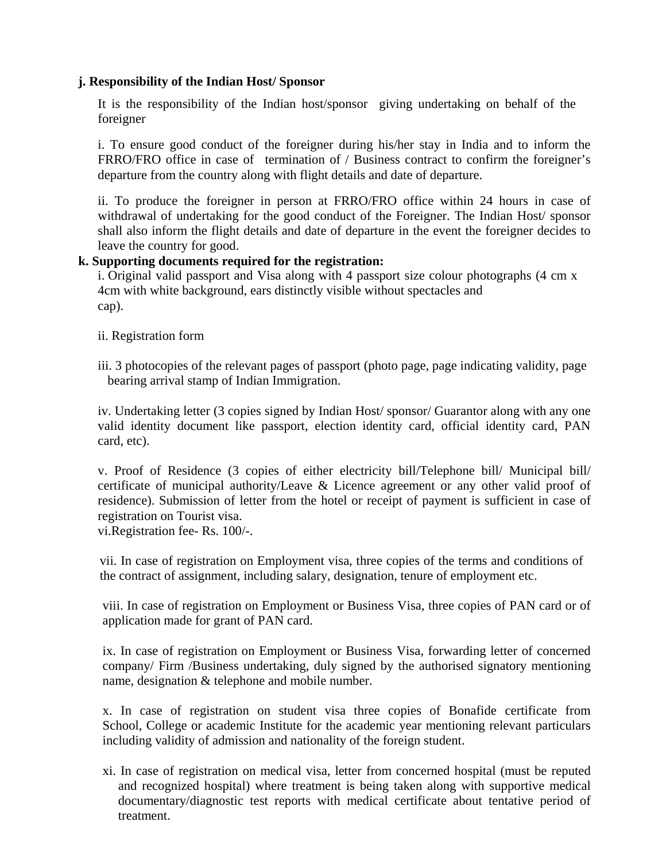### **j. Responsibility of the Indian Host/ Sponsor**

It is the responsibility of the Indian host/sponsor giving undertaking on behalf of the foreigner

i. To ensure good conduct of the foreigner during his/her stay in India and to inform the FRRO/FRO office in case of termination of / Business contract to confirm the foreigner's departure from the country along with flight details and date of departure.

ii. To produce the foreigner in person at FRRO/FRO office within 24 hours in case of withdrawal of undertaking for the good conduct of the Foreigner. The Indian Host/ sponsor shall also inform the flight details and date of departure in the event the foreigner decides to leave the country for good.

# **k. Supporting documents required for the registration:**

 i. Original valid passport and Visa along with 4 passport size colour photographs (4 cm x 4cm with white background, ears distinctly visible without spectacles and cap).

- ii. Registration form
- iii. 3 photocopies of the relevant pages of passport (photo page, page indicating validity, page bearing arrival stamp of Indian Immigration.

iv. Undertaking letter (3 copies signed by Indian Host/ sponsor/ Guarantor along with any one valid identity document like passport, election identity card, official identity card, PAN card, etc).

v. Proof of Residence (3 copies of either electricity bill/Telephone bill/ Municipal bill/ certificate of municipal authority/Leave & Licence agreement or any other valid proof of residence). Submission of letter from the hotel or receipt of payment is sufficient in case of registration on Tourist visa.

vi.Registration fee- Rs. 100/-.

vii. In case of registration on Employment visa, three copies of the terms and conditions of the contract of assignment, including salary, designation, tenure of employment etc.

viii. In case of registration on Employment or Business Visa, three copies of PAN card or of application made for grant of PAN card.

ix. In case of registration on Employment or Business Visa, forwarding letter of concerned company/ Firm /Business undertaking, duly signed by the authorised signatory mentioning name, designation & telephone and mobile number.

x. In case of registration on student visa three copies of Bonafide certificate from School, College or academic Institute for the academic year mentioning relevant particulars including validity of admission and nationality of the foreign student.

xi. In case of registration on medical visa, letter from concerned hospital (must be reputed and recognized hospital) where treatment is being taken along with supportive medical documentary/diagnostic test reports with medical certificate about tentative period of treatment.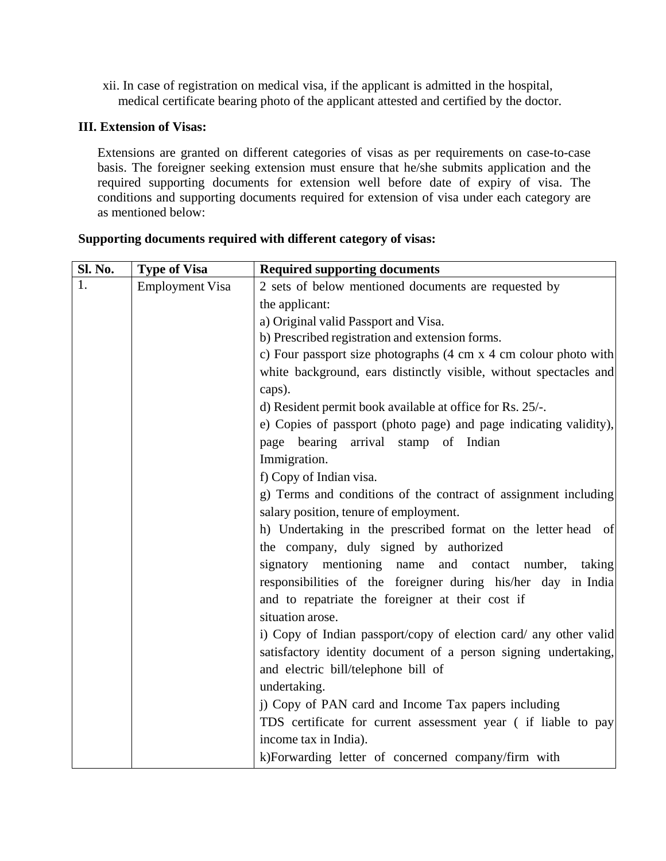xii. In case of registration on medical visa, if the applicant is admitted in the hospital, medical certificate bearing photo of the applicant attested and certified by the doctor.

# **III. Extension of Visas:**

Extensions are granted on different categories of visas as per requirements on case-to-case basis. The foreigner seeking extension must ensure that he/she submits application and the required supporting documents for extension well before date of expiry of visa. The conditions and supporting documents required for extension of visa under each category are as mentioned below:

| <b>Sl. No.</b> | <b>Type of Visa</b>    | <b>Required supporting documents</b>                                                 |
|----------------|------------------------|--------------------------------------------------------------------------------------|
|                | <b>Employment Visa</b> | 2 sets of below mentioned documents are requested by                                 |
|                |                        | the applicant:                                                                       |
|                |                        | a) Original valid Passport and Visa.                                                 |
|                |                        | b) Prescribed registration and extension forms.                                      |
|                |                        | c) Four passport size photographs $(4 \text{ cm } x 4 \text{ cm }$ colour photo with |
|                |                        | white background, ears distinctly visible, without spectacles and                    |
|                |                        | caps).                                                                               |
|                |                        | d) Resident permit book available at office for Rs. 25/-.                            |
|                |                        | e) Copies of passport (photo page) and page indicating validity),                    |
|                |                        | page bearing arrival stamp of Indian                                                 |
|                |                        | Immigration.                                                                         |
|                |                        | f) Copy of Indian visa.                                                              |
|                |                        | g) Terms and conditions of the contract of assignment including                      |
|                |                        | salary position, tenure of employment.                                               |
|                |                        | h) Undertaking in the prescribed format on the letter head of                        |
|                |                        | the company, duly signed by authorized                                               |
|                |                        | signatory mentioning name and contact number,<br>taking                              |
|                |                        | responsibilities of the foreigner during his/her day in India                        |
|                |                        | and to repatriate the foreigner at their cost if                                     |
|                |                        | situation arose.                                                                     |
|                |                        | i) Copy of Indian passport/copy of election card/ any other valid                    |
|                |                        | satisfactory identity document of a person signing undertaking,                      |
|                |                        | and electric bill/telephone bill of                                                  |
|                |                        | undertaking.                                                                         |
|                |                        | j) Copy of PAN card and Income Tax papers including                                  |
|                |                        | TDS certificate for current assessment year (if liable to pay                        |
|                |                        | income tax in India).                                                                |
|                |                        | k)Forwarding letter of concerned company/firm with                                   |

## **Supporting documents required with different category of visas:**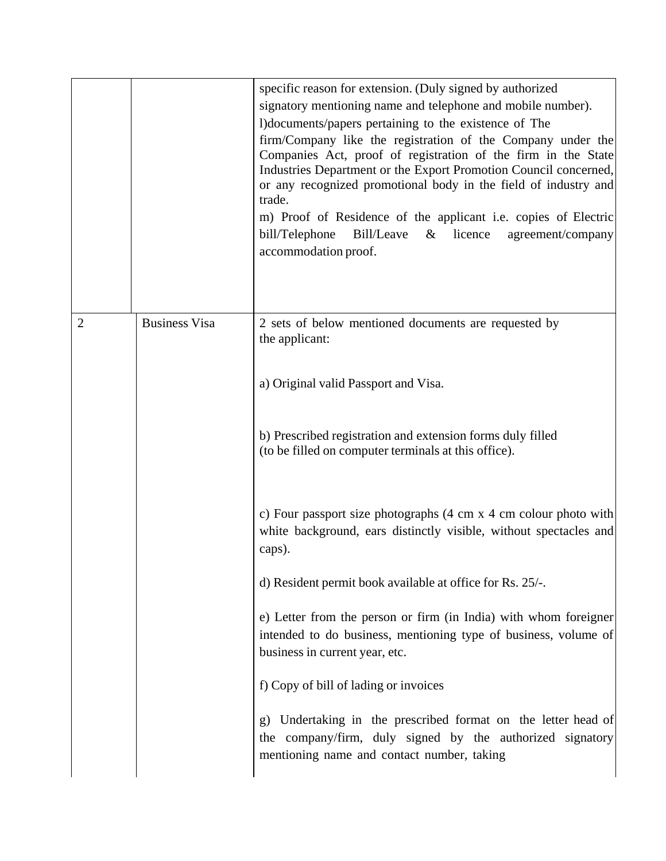|                |                      | specific reason for extension. (Duly signed by authorized<br>signatory mentioning name and telephone and mobile number).<br>l)documents/papers pertaining to the existence of The<br>firm/Company like the registration of the Company under the<br>Companies Act, proof of registration of the firm in the State<br>Industries Department or the Export Promotion Council concerned,<br>or any recognized promotional body in the field of industry and<br>trade.<br>m) Proof of Residence of the applicant <i>i.e.</i> copies of Electric<br>Bill/Leave<br>bill/Telephone<br>licence<br>agreement/company<br>$\&$<br>accommodation proof. |
|----------------|----------------------|---------------------------------------------------------------------------------------------------------------------------------------------------------------------------------------------------------------------------------------------------------------------------------------------------------------------------------------------------------------------------------------------------------------------------------------------------------------------------------------------------------------------------------------------------------------------------------------------------------------------------------------------|
| $\overline{2}$ | <b>Business Visa</b> | 2 sets of below mentioned documents are requested by<br>the applicant:                                                                                                                                                                                                                                                                                                                                                                                                                                                                                                                                                                      |
|                |                      | a) Original valid Passport and Visa.                                                                                                                                                                                                                                                                                                                                                                                                                                                                                                                                                                                                        |
|                |                      | b) Prescribed registration and extension forms duly filled<br>(to be filled on computer terminals at this office).                                                                                                                                                                                                                                                                                                                                                                                                                                                                                                                          |
|                |                      | c) Four passport size photographs $(4 \text{ cm } x 4 \text{ cm }$ colour photo with<br>white background, ears distinctly visible, without spectacles and<br>caps).                                                                                                                                                                                                                                                                                                                                                                                                                                                                         |
|                |                      | d) Resident permit book available at office for Rs. 25/-.                                                                                                                                                                                                                                                                                                                                                                                                                                                                                                                                                                                   |
|                |                      | e) Letter from the person or firm (in India) with whom foreigner<br>intended to do business, mentioning type of business, volume of<br>business in current year, etc.                                                                                                                                                                                                                                                                                                                                                                                                                                                                       |
|                |                      | f) Copy of bill of lading or invoices                                                                                                                                                                                                                                                                                                                                                                                                                                                                                                                                                                                                       |
|                |                      | Undertaking in the prescribed format on the letter head of<br>$\mathbf{g}$<br>the company/firm, duly signed by the authorized signatory<br>mentioning name and contact number, taking                                                                                                                                                                                                                                                                                                                                                                                                                                                       |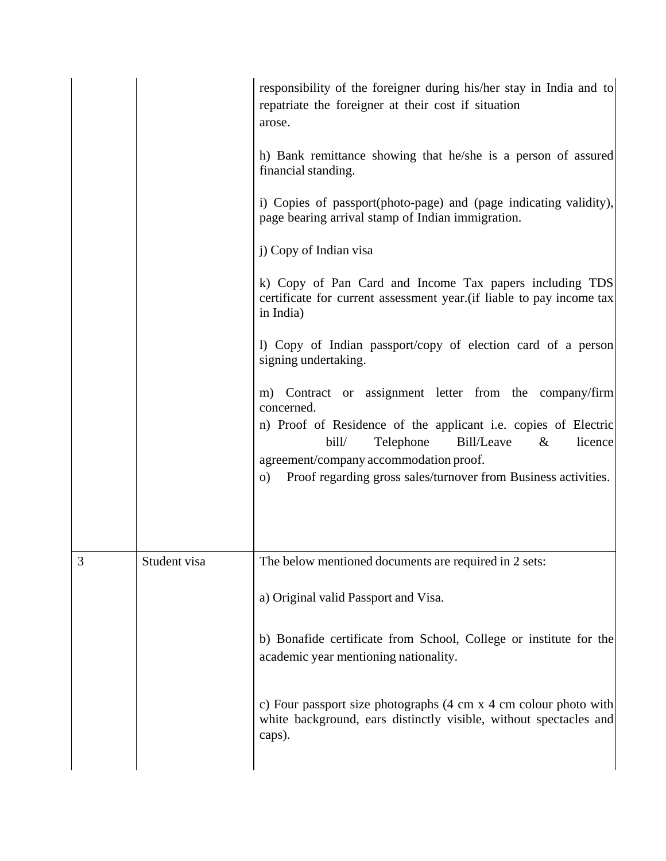|   |              | responsibility of the foreigner during his/her stay in India and to<br>repatriate the foreigner at their cost if situation<br>arose.                                                                                                                                                                                   |
|---|--------------|------------------------------------------------------------------------------------------------------------------------------------------------------------------------------------------------------------------------------------------------------------------------------------------------------------------------|
|   |              | h) Bank remittance showing that he/she is a person of assured<br>financial standing.                                                                                                                                                                                                                                   |
|   |              | i) Copies of passport(photo-page) and (page indicating validity),<br>page bearing arrival stamp of Indian immigration.                                                                                                                                                                                                 |
|   |              | j) Copy of Indian visa                                                                                                                                                                                                                                                                                                 |
|   |              | k) Copy of Pan Card and Income Tax papers including TDS<br>certificate for current assessment year. (if liable to pay income tax<br>in India)                                                                                                                                                                          |
|   |              | 1) Copy of Indian passport/copy of election card of a person<br>signing undertaking.                                                                                                                                                                                                                                   |
|   |              | m) Contract or assignment letter from the company/firm<br>concerned.<br>n) Proof of Residence of the applicant i.e. copies of Electric<br>bill/<br>Telephone<br>Bill/Leave<br>licence<br>$\&$<br>agreement/company accommodation proof.<br>Proof regarding gross sales/turnover from Business activities.<br>$\circ$ ) |
|   |              |                                                                                                                                                                                                                                                                                                                        |
| 3 | Student visa | T <sub>1</sub><br>The below mentioned documents are required in 2 sets:                                                                                                                                                                                                                                                |
|   |              | a) Original valid Passport and Visa.                                                                                                                                                                                                                                                                                   |
|   |              | b) Bonafide certificate from School, College or institute for the<br>academic year mentioning nationality.                                                                                                                                                                                                             |
|   |              | c) Four passport size photographs (4 cm x 4 cm colour photo with<br>white background, ears distinctly visible, without spectacles and<br>caps).                                                                                                                                                                        |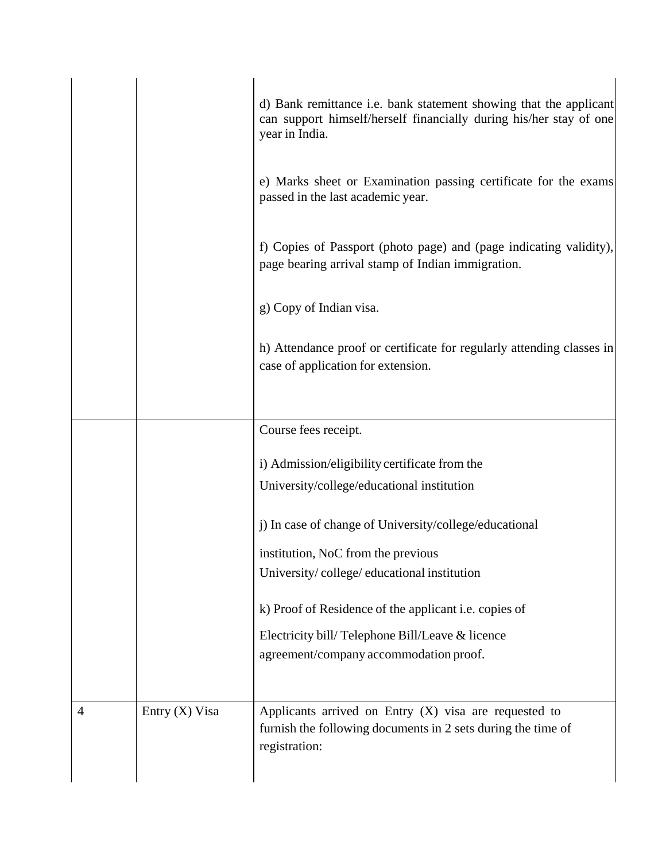|                |                  | d) Bank remittance i.e. bank statement showing that the applicant<br>can support himself/herself financially during his/her stay of one<br>year in India. |
|----------------|------------------|-----------------------------------------------------------------------------------------------------------------------------------------------------------|
|                |                  | e) Marks sheet or Examination passing certificate for the exams<br>passed in the last academic year.                                                      |
|                |                  | f) Copies of Passport (photo page) and (page indicating validity),<br>page bearing arrival stamp of Indian immigration.                                   |
|                |                  | g) Copy of Indian visa.                                                                                                                                   |
|                |                  | h) Attendance proof or certificate for regularly attending classes in<br>case of application for extension.                                               |
|                |                  | Course fees receipt.                                                                                                                                      |
|                |                  | i) Admission/eligibility certificate from the                                                                                                             |
|                |                  | University/college/educational institution                                                                                                                |
|                |                  | j) In case of change of University/college/educational                                                                                                    |
|                |                  | institution, NoC from the previous                                                                                                                        |
|                |                  | University/college/educational institution                                                                                                                |
|                |                  | k) Proof of Residence of the applicant <i>i.e.</i> copies of                                                                                              |
|                |                  | Electricity bill/Telephone Bill/Leave & licence                                                                                                           |
|                |                  | agreement/company accommodation proof.                                                                                                                    |
| $\overline{4}$ | Entry $(X)$ Visa | Applicants arrived on Entry $(X)$ visa are requested to                                                                                                   |
|                |                  | furnish the following documents in 2 sets during the time of<br>registration:                                                                             |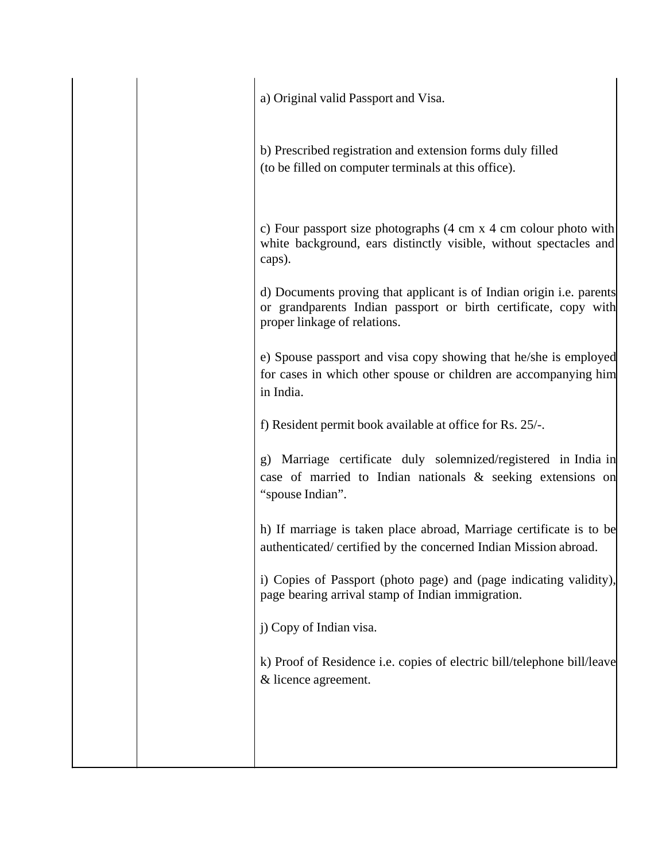a) Original valid Passport and Visa.

b) Prescribed registration and extension forms duly filled (to be filled on computer terminals at this office).

c) Four passport size photographs (4 cm x 4 cm colour photo with white background, ears distinctly visible, without spectacles and caps).

d) Documents proving that applicant is of Indian origin i.e. parents or grandparents Indian passport or birth certificate, copy with proper linkage of relations.

e) Spouse passport and visa copy showing that he/she is employed for cases in which other spouse or children are accompanying him in India.

f) Resident permit book available at office for Rs. 25/-.

g) Marriage certificate duly solemnized/registered in India in case of married to Indian nationals & seeking extensions on "spouse Indian".

h) If marriage is taken place abroad, Marriage certificate is to be authenticated/ certified by the concerned Indian Mission abroad.

i) Copies of Passport (photo page) and (page indicating validity), page bearing arrival stamp of Indian immigration.

j) Copy of Indian visa.

k) Proof of Residence i.e. copies of electric bill/telephone bill/leave & licence agreement.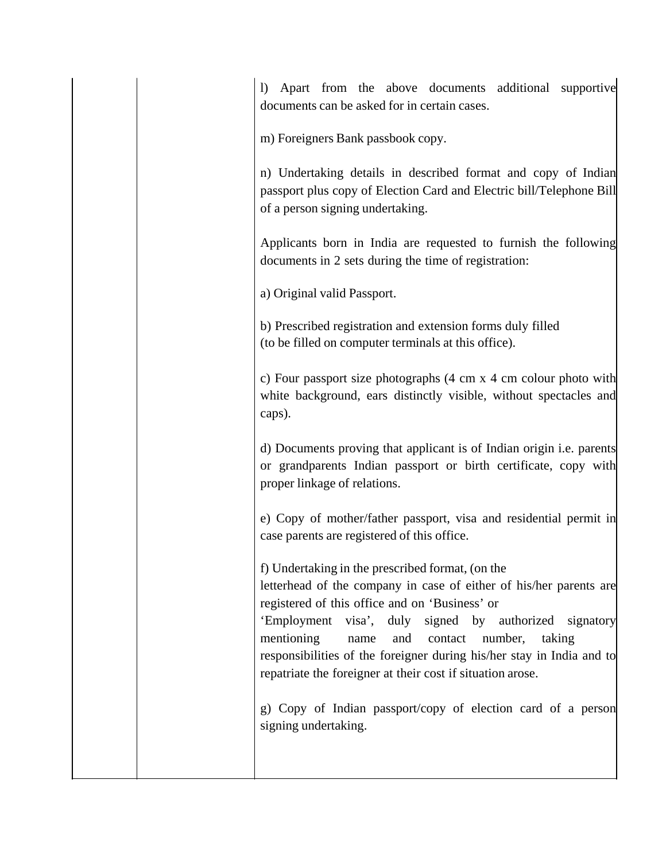l) Apart from the above documents additional supportive documents can be asked for in certain cases.

m) Foreigners Bank passbook copy.

n) Undertaking details in described format and copy of Indian passport plus copy of Election Card and Electric bill/Telephone Bill of a person signing undertaking.

Applicants born in India are requested to furnish the following documents in 2 sets during the time of registration:

a) Original valid Passport.

b) Prescribed registration and extension forms duly filled (to be filled on computer terminals at this office).

c) Four passport size photographs (4 cm x 4 cm colour photo with white background, ears distinctly visible, without spectacles and caps).

d) Documents proving that applicant is of Indian origin i.e. parents or grandparents Indian passport or birth certificate, copy with proper linkage of relations.

e) Copy of mother/father passport, visa and residential permit in case parents are registered of this office.

f) Undertaking in the prescribed format, (on the letterhead of the company in case of either of his/her parents are registered of this office and on 'Business' or 'Employment visa', duly signed by authorized signatory mentioning name and contact number, taking responsibilities of the foreigner during his/her stay in India and to repatriate the foreigner at their cost if situation arose.

g) Copy of Indian passport/copy of election card of a person signing undertaking.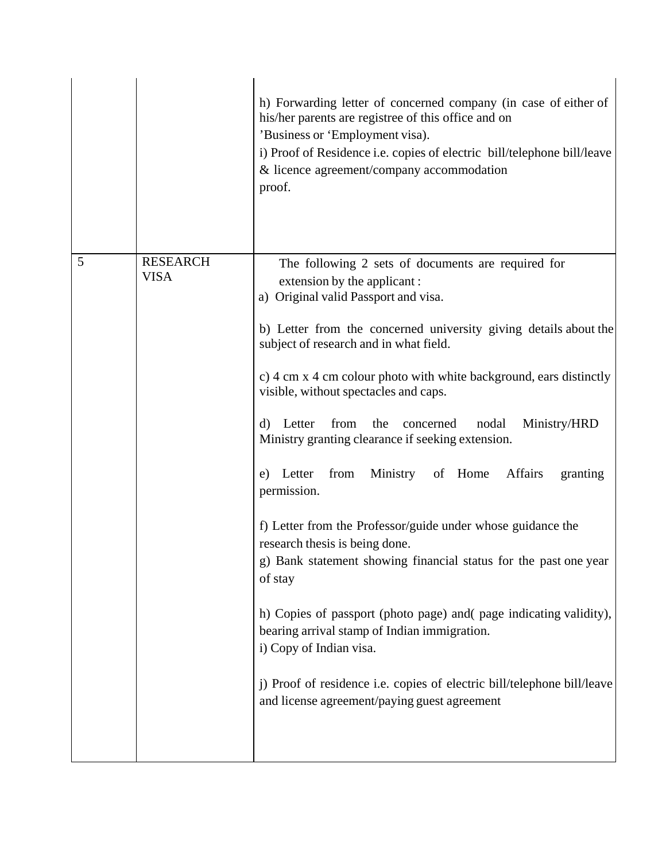|   |                                | h) Forwarding letter of concerned company (in case of either of<br>his/her parents are registree of this office and on<br>'Business or 'Employment visa).<br>i) Proof of Residence i.e. copies of electric bill/telephone bill/leave<br>& licence agreement/company accommodation<br>proof.                                                                                                                                                                                                                                                                                                                                                                                                                                                                                                                                                                                                                                                                                                                             |
|---|--------------------------------|-------------------------------------------------------------------------------------------------------------------------------------------------------------------------------------------------------------------------------------------------------------------------------------------------------------------------------------------------------------------------------------------------------------------------------------------------------------------------------------------------------------------------------------------------------------------------------------------------------------------------------------------------------------------------------------------------------------------------------------------------------------------------------------------------------------------------------------------------------------------------------------------------------------------------------------------------------------------------------------------------------------------------|
| 5 | <b>RESEARCH</b><br><b>VISA</b> | The following 2 sets of documents are required for<br>extension by the applicant:<br>a) Original valid Passport and visa.<br>b) Letter from the concerned university giving details about the<br>subject of research and in what field.<br>c) 4 cm x 4 cm colour photo with white background, ears distinctly<br>visible, without spectacles and caps.<br>from<br>Ministry/HRD<br>Letter<br>the<br>concerned<br>nodal<br>d)<br>Ministry granting clearance if seeking extension.<br>e) Letter from<br>Ministry of Home<br>Affairs<br>granting<br>permission.<br>f) Letter from the Professor/guide under whose guidance the<br>research thesis is being done.<br>g) Bank statement showing financial status for the past one year<br>of stay<br>h) Copies of passport (photo page) and page indicating validity),<br>bearing arrival stamp of Indian immigration.<br>i) Copy of Indian visa.<br>j) Proof of residence i.e. copies of electric bill/telephone bill/leave<br>and license agreement/paying guest agreement |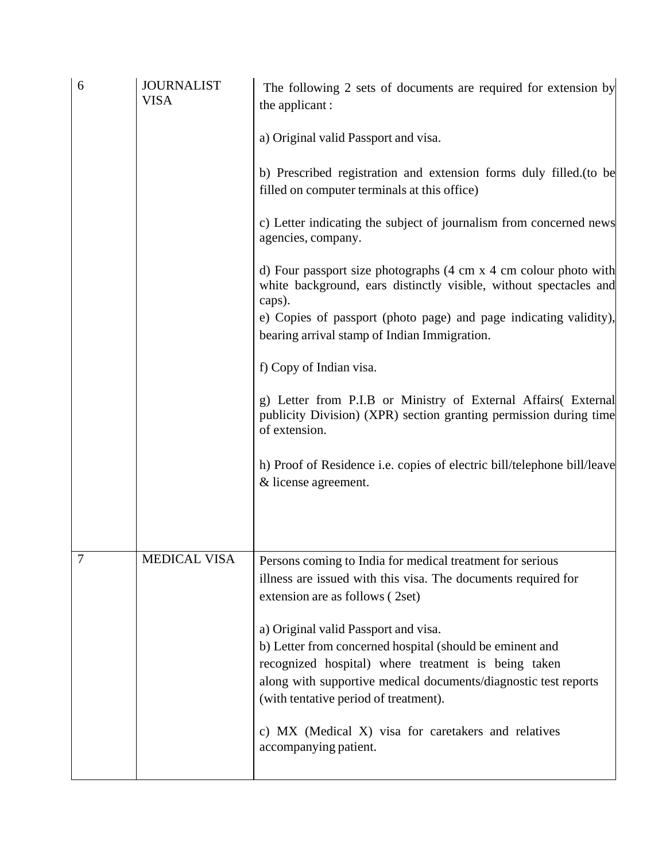| 6 | <b>JOURNALIST</b><br><b>VISA</b> | The following 2 sets of documents are required for extension by<br>the applicant:                                                                                                                                                        |
|---|----------------------------------|------------------------------------------------------------------------------------------------------------------------------------------------------------------------------------------------------------------------------------------|
|   |                                  | a) Original valid Passport and visa.                                                                                                                                                                                                     |
|   |                                  | b) Prescribed registration and extension forms duly filled. (to be<br>filled on computer terminals at this office)                                                                                                                       |
|   |                                  | c) Letter indicating the subject of journalism from concerned news<br>agencies, company.                                                                                                                                                 |
|   |                                  | d) Four passport size photographs $(4 \text{ cm } x 4 \text{ cm }$ colour photo with<br>white background, ears distinctly visible, without spectacles and<br>caps).<br>e) Copies of passport (photo page) and page indicating validity), |
|   |                                  | bearing arrival stamp of Indian Immigration.                                                                                                                                                                                             |
|   |                                  | f) Copy of Indian visa.                                                                                                                                                                                                                  |
|   |                                  | g) Letter from P.I.B or Ministry of External Affairs (External<br>publicity Division) (XPR) section granting permission during time<br>of extension.                                                                                     |
|   |                                  | h) Proof of Residence i.e. copies of electric bill/telephone bill/leave<br>& license agreement.                                                                                                                                          |
|   |                                  |                                                                                                                                                                                                                                          |
| 7 | <b>MEDICAL VISA</b>              | Persons coming to India for medical treatment for serious<br>illness are issued with this visa. The documents required for<br>extension are as follows (2set)                                                                            |
|   |                                  | a) Original valid Passport and visa.                                                                                                                                                                                                     |
|   |                                  | b) Letter from concerned hospital (should be eminent and<br>recognized hospital) where treatment is being taken<br>along with supportive medical documents/diagnostic test reports<br>(with tentative period of treatment).              |
|   |                                  | c) MX (Medical X) visa for caretakers and relatives<br>accompanying patient.                                                                                                                                                             |
|   |                                  |                                                                                                                                                                                                                                          |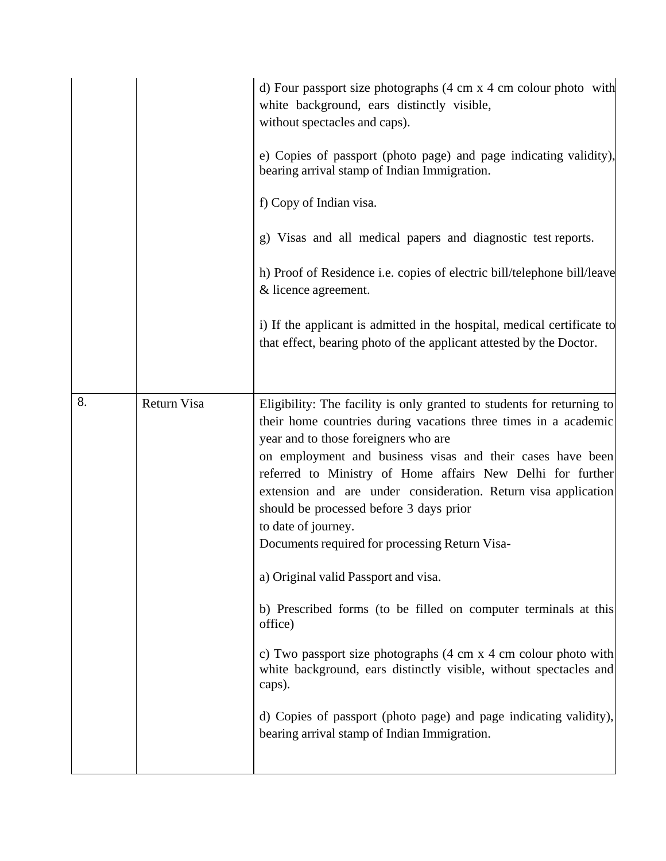|    |             | d) Four passport size photographs $(4 \text{ cm } x 4 \text{ cm }$ colour photo with<br>white background, ears distinctly visible,<br>without spectacles and caps).<br>e) Copies of passport (photo page) and page indicating validity),<br>bearing arrival stamp of Indian Immigration.<br>f) Copy of Indian visa.<br>g) Visas and all medical papers and diagnostic test reports.<br>h) Proof of Residence i.e. copies of electric bill/telephone bill/leave<br>& licence agreement.<br>i) If the applicant is admitted in the hospital, medical certificate to<br>that effect, bearing photo of the applicant attested by the Doctor.                                                                                                                                                                                                                                                                             |
|----|-------------|----------------------------------------------------------------------------------------------------------------------------------------------------------------------------------------------------------------------------------------------------------------------------------------------------------------------------------------------------------------------------------------------------------------------------------------------------------------------------------------------------------------------------------------------------------------------------------------------------------------------------------------------------------------------------------------------------------------------------------------------------------------------------------------------------------------------------------------------------------------------------------------------------------------------|
| 8. | Return Visa | Eligibility: The facility is only granted to students for returning to<br>their home countries during vacations three times in a academic<br>year and to those foreigners who are<br>on employment and business visas and their cases have been<br>referred to Ministry of Home affairs New Delhi for further<br>extension and are under consideration. Return visa application<br>should be processed before 3 days prior<br>to date of journey.<br>Documents required for processing Return Visa-<br>a) Original valid Passport and visa.<br>b) Prescribed forms (to be filled on computer terminals at this<br>office)<br>c) Two passport size photographs $(4 \text{ cm } x 4 \text{ cm }$ colour photo with<br>white background, ears distinctly visible, without spectacles and<br>caps).<br>d) Copies of passport (photo page) and page indicating validity),<br>bearing arrival stamp of Indian Immigration. |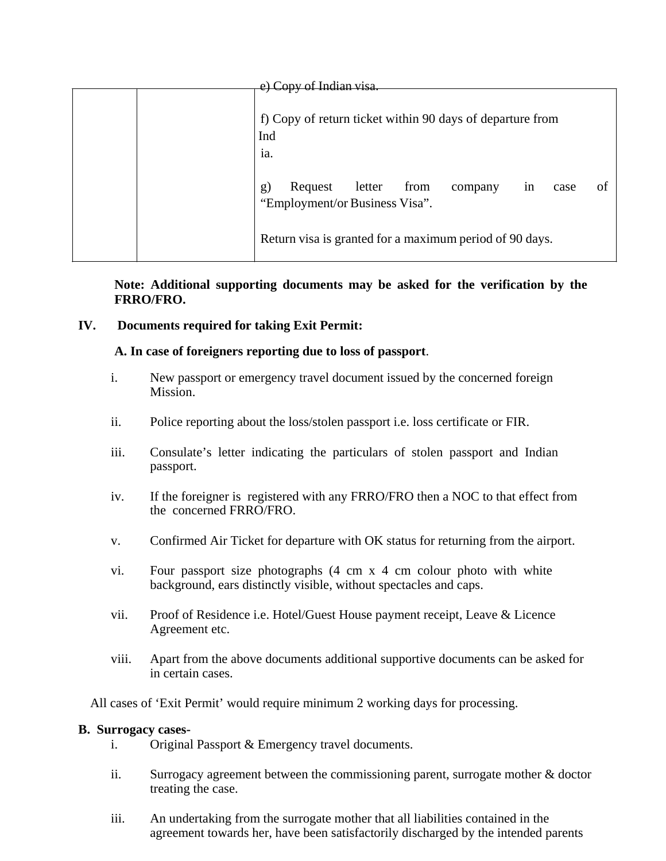| Conv of Indian visa |                                                                                                  |  |
|---------------------|--------------------------------------------------------------------------------------------------|--|
|                     | f) Copy of return ticket within 90 days of departure from<br>Ind<br>ia.                          |  |
|                     | Request<br>letter<br>from<br>g)<br>company<br>1n<br>case<br>Ωt<br>"Employment/or Business Visa". |  |
|                     | Return visa is granted for a maximum period of 90 days.                                          |  |

**Note: Additional supporting documents may be asked for the verification by the FRRO/FRO.**

## **IV. Documents required for taking Exit Permit:**

### **A. In case of foreigners reporting due to loss of passport**.

- i. New passport or emergency travel document issued by the concerned foreign Mission.
- ii. Police reporting about the loss/stolen passport i.e. loss certificate or FIR.
- iii. Consulate's letter indicating the particulars of stolen passport and Indian passport.
- iv. If the foreigner is registered with any FRRO/FRO then a NOC to that effect from the concerned FRRO/FRO.
- v. Confirmed Air Ticket for departure with OK status for returning from the airport.
- vi. Four passport size photographs (4 cm x 4 cm colour photo with white background, ears distinctly visible, without spectacles and caps.
- vii. Proof of Residence i.e. Hotel/Guest House payment receipt, Leave & Licence Agreement etc.
- viii. Apart from the above documents additional supportive documents can be asked for in certain cases.

All cases of 'Exit Permit' would require minimum 2 working days for processing.

### **B. Surrogacy cases-**

- i. Original Passport & Emergency travel documents.
- ii. Surrogacy agreement between the commissioning parent, surrogate mother & doctor treating the case.
- iii. An undertaking from the surrogate mother that all liabilities contained in the agreement towards her, have been satisfactorily discharged by the intended parents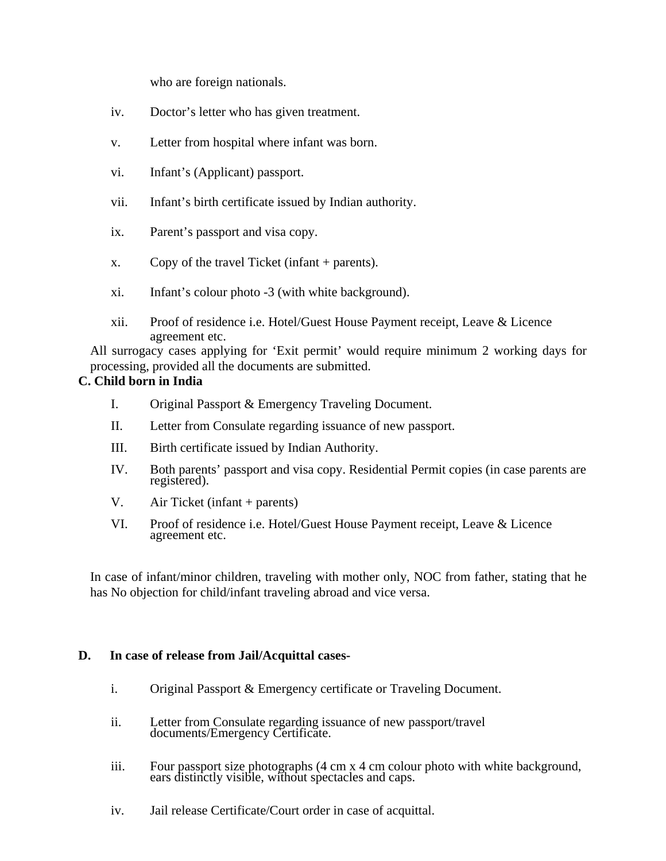who are foreign nationals.

- iv. Doctor's letter who has given treatment.
- v. Letter from hospital where infant was born.
- vi. Infant's (Applicant) passport.
- vii. Infant's birth certificate issued by Indian authority.
- ix. Parent's passport and visa copy.
- x. Copy of the travel Ticket (infant + parents).
- xi. Infant's colour photo -3 (with white background).
- xii. Proof of residence i.e. Hotel/Guest House Payment receipt, Leave & Licence agreement etc.

All surrogacy cases applying for 'Exit permit' would require minimum 2 working days for processing, provided all the documents are submitted.

### **C. Child born in India**

- I. Original Passport & Emergency Traveling Document.
- II. Letter from Consulate regarding issuance of new passport.
- III. Birth certificate issued by Indian Authority.
- IV. Both parents' passport and visa copy. Residential Permit copies (in case parents are registered).
- V. Air Ticket (infant + parents)
- VI. Proof of residence i.e. Hotel/Guest House Payment receipt, Leave & Licence agreement etc.

In case of infant/minor children, traveling with mother only, NOC from father, stating that he has No objection for child/infant traveling abroad and vice versa.

### **D. In case of release from Jail/Acquittal cases-**

- i. Original Passport & Emergency certificate or Traveling Document.
- ii. Letter from Consulate regarding issuance of new passport/travel documents/Emergency Certificate.
- iii. Four passport size photographs (4 cm x 4 cm colour photo with white background, ears distinctly visible, without spectacles and caps.
- iv. Jail release Certificate/Court order in case of acquittal.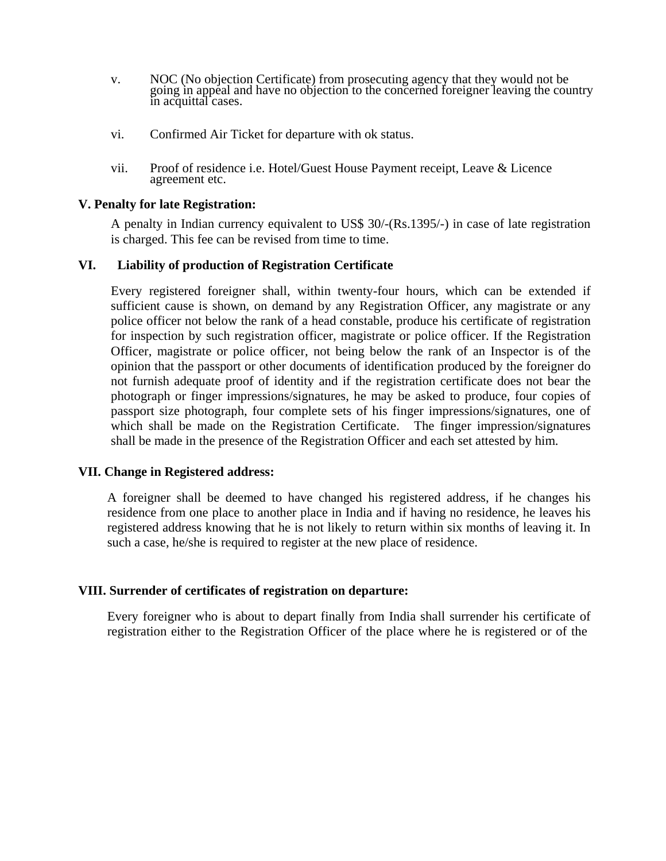- v. NOC (No objection Certificate) from prosecuting agency that they would not be going in appeal and have no objection to the concerned foreigner leaving the country in acquittal cases.
- vi. Confirmed Air Ticket for departure with ok status.
- vii. Proof of residence i.e. Hotel/Guest House Payment receipt, Leave & Licence agreement etc.

#### **V. Penalty for late Registration:**

A penalty in Indian currency equivalent to US\$ 30/-(Rs.1395/-) in case of late registration is charged. This fee can be revised from time to time.

### **VI. Liability of production of Registration Certificate**

Every registered foreigner shall, within twenty-four hours, which can be extended if sufficient cause is shown, on demand by any Registration Officer, any magistrate or any police officer not below the rank of a head constable, produce his certificate of registration for inspection by such registration officer, magistrate or police officer. If the Registration Officer, magistrate or police officer, not being below the rank of an Inspector is of the opinion that the passport or other documents of identification produced by the foreigner do not furnish adequate proof of identity and if the registration certificate does not bear the photograph or finger impressions/signatures, he may be asked to produce, four copies of passport size photograph, four complete sets of his finger impressions/signatures, one of which shall be made on the Registration Certificate. The finger impression/signatures shall be made in the presence of the Registration Officer and each set attested by him.

#### **VII. Change in Registered address:**

A foreigner shall be deemed to have changed his registered address, if he changes his residence from one place to another place in India and if having no residence, he leaves his registered address knowing that he is not likely to return within six months of leaving it. In such a case, he/she is required to register at the new place of residence.

### **VIII. Surrender of certificates of registration on departure:**

Every foreigner who is about to depart finally from India shall surrender his certificate of registration either to the Registration Officer of the place where he is registered or of the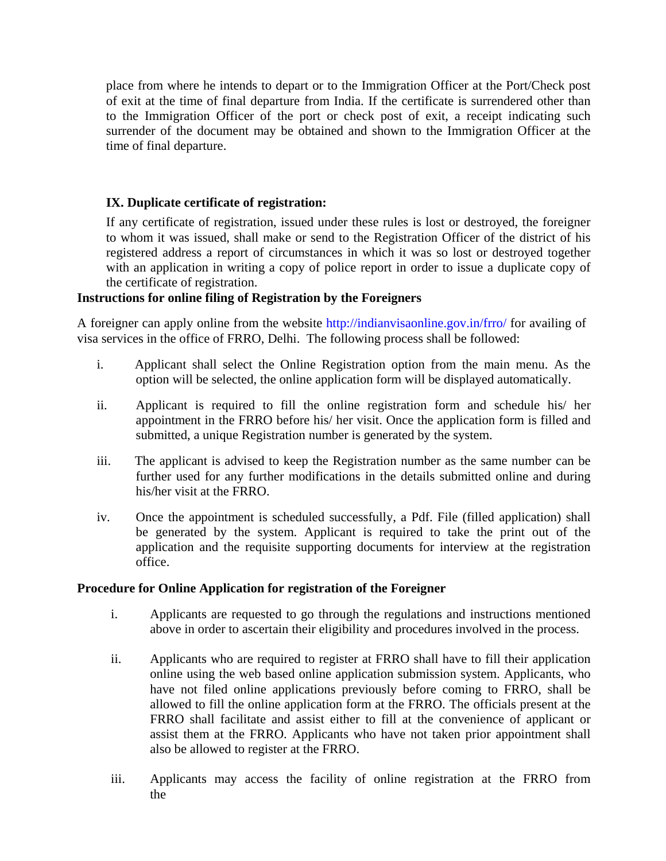place from where he intends to depart or to the Immigration Officer at the Port/Check post of exit at the time of final departure from India. If the certificate is surrendered other than to the Immigration Officer of the port or check post of exit, a receipt indicating such surrender of the document may be obtained and shown to the Immigration Officer at the time of final departure.

# **IX. Duplicate certificate of registration:**

If any certificate of registration, issued under these rules is lost or destroyed, the foreigner to whom it was issued, shall make or send to the Registration Officer of the district of his registered address a report of circumstances in which it was so lost or destroyed together with an application in writing a copy of police report in order to issue a duplicate copy of the certificate of registration.

## **Instructions for online filing of Registration by the Foreigners**

A foreigner can apply online from the website http://indianvisaonline.gov.in/frro/ for availing of visa services in the office of FRRO, Delhi. The following process shall be followed:

- i. Applicant shall select the Online Registration option from the main menu. As the option will be selected, the online application form will be displayed automatically.
- ii. Applicant is required to fill the online registration form and schedule his/ her appointment in the FRRO before his/ her visit. Once the application form is filled and submitted, a unique Registration number is generated by the system.
- iii. The applicant is advised to keep the Registration number as the same number can be further used for any further modifications in the details submitted online and during his/her visit at the FRRO.
- iv. Once the appointment is scheduled successfully, a Pdf. File (filled application) shall be generated by the system. Applicant is required to take the print out of the application and the requisite supporting documents for interview at the registration office.

# **Procedure for Online Application for registration of the Foreigner**

- i. Applicants are requested to go through the regulations and instructions mentioned above in order to ascertain their eligibility and procedures involved in the process.
- ii. Applicants who are required to register at FRRO shall have to fill their application online using the web based online application submission system. Applicants, who have not filed online applications previously before coming to FRRO, shall be allowed to fill the online application form at the FRRO. The officials present at the FRRO shall facilitate and assist either to fill at the convenience of applicant or assist them at the FRRO. Applicants who have not taken prior appointment shall also be allowed to register at the FRRO.
- iii. Applicants may access the facility of online registration at the FRRO from the